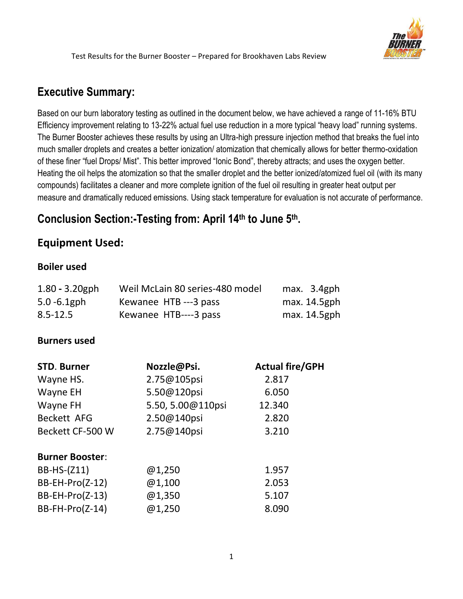

# **Executive Summary:**

Based on our burn laboratory testing as outlined in the document below, we have achieved a range of 11-16% BTU Efficiency improvement relating to 13-22% actual fuel use reduction in a more typical "heavy load" running systems. The Burner Booster achieves these results by using an Ultra-high pressure injection method that breaks the fuel into much smaller droplets and creates a better ionization/ atomization that chemically allows for better thermo-oxidation of these finer "fuel Drops/ Mist". This better improved "Ionic Bond", thereby attracts; and uses the oxygen better. Heating the oil helps the atomization so that the smaller droplet and the better ionized/atomized fuel oil (with its many compounds) facilitates a cleaner and more complete ignition of the fuel oil resulting in greater heat output per measure and dramatically reduced emissions. Using stack temperature for evaluation is not accurate of performance.

# **Conclusion Section:-Testing from: April 14th to June 5 th.**

## **Equipment Used:**

#### **Boiler used**

| $1.80 - 3.20$ gph<br>$5.0 - 6.1$ gph | Weil McLain 80 series-480 model<br>Kewanee HTB ---3 pass | max. 3.4gph<br>max. 14.5gph |
|--------------------------------------|----------------------------------------------------------|-----------------------------|
| $8.5 - 12.5$                         | Kewanee HTB----3 pass                                    | max. 14.5gph                |
| <b>Burners used</b>                  |                                                          |                             |
| <b>STD. Burner</b>                   | Nozzle@Psi.                                              | <b>Actual fire/GPH</b>      |
| Wayne HS.                            | 2.75@105psi                                              | 2.817                       |
| Wayne EH                             | 5.50@120psi                                              | 6.050                       |
| Wayne FH                             | 5.50, 5.00@110psi                                        | 12.340                      |
| <b>Beckett AFG</b>                   | 2.50@140psi                                              | 2.820                       |
| Beckett CF-500 W                     | 2.75@140psi<br>3.210                                     |                             |
| <b>Burner Booster:</b>               |                                                          |                             |
| BB-HS-(Z11)                          | @1,250                                                   | 1.957                       |
| $BB-EH-Pro(Z-12)$                    | @1,100                                                   | 2.053                       |
| $BB-EH-Pro(Z-13)$                    | @1,350                                                   | 5.107                       |
| BB-FH-Pro(Z-14)                      | @1,250                                                   | 8.090                       |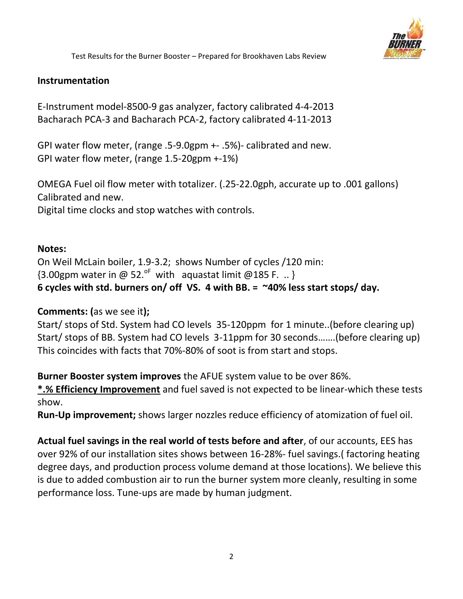

#### **Instrumentation**

E-Instrument model-8500-9 gas analyzer, factory calibrated 4-4-2013 Bacharach PCA-3 and Bacharach PCA-2, factory calibrated 4-11-2013

GPI water flow meter, (range .5-9.0gpm +- .5%)- calibrated and new. GPI water flow meter, (range 1.5-20gpm +-1%)

OMEGA Fuel oil flow meter with totalizer. (.25-22.0gph, accurate up to .001 gallons) Calibrated and new. Digital time clocks and stop watches with controls.

#### **Notes:**

On Weil McLain boiler, 1.9-3.2; shows Number of cycles /120 min:  ${3.00}$ gpm water in @ 52.<sup>oF</sup> with aquastat limit @185 F. .. } **6 cycles with std. burners on/ off VS. 4 with BB. = ~40% less start stops/ day.**

#### **Comments: (**as we see it**);**

Start/ stops of Std. System had CO levels 35-120ppm for 1 minute..(before clearing up) Start/ stops of BB. System had CO levels 3-11ppm for 30 seconds…….(before clearing up) This coincides with facts that 70%-80% of soot is from start and stops.

**Burner Booster system improves** the AFUE system value to be over 86%.

**\*.% Efficiency Improvement** and fuel saved is not expected to be linear-which these tests show.

**Run-Up improvement;** shows larger nozzles reduce efficiency of atomization of fuel oil.

**Actual fuel savings in the real world of tests before and after**, of our accounts, EES has over 92% of our installation sites shows between 16-28%- fuel savings.( factoring heating degree days, and production process volume demand at those locations). We believe this is due to added combustion air to run the burner system more cleanly, resulting in some performance loss. Tune-ups are made by human judgment.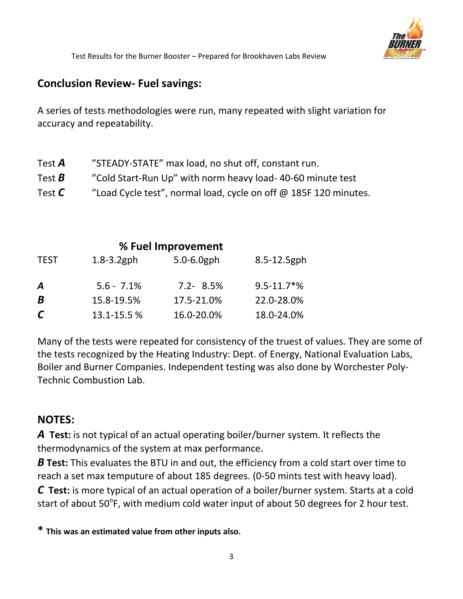

### **Conclusion Review- Fuel savings:**

A series of tests methodologies were run, many repeated with slight variation for accuracy and repeatability.

| Test $\boldsymbol{A}$           | "STEADY-STATE" max load, no shut off, constant run.              |
|---------------------------------|------------------------------------------------------------------|
| Test $\bm{B}$                   | "Cold Start-Run Up" with norm heavy load-40-60 minute test       |
| Test $\boldsymbol{\mathcal{C}}$ | "Load Cycle test", normal load, cycle on off @ 185F 120 minutes. |

| % Fuel Improvement |                 |                 |                             |  |  |
|--------------------|-----------------|-----------------|-----------------------------|--|--|
| <b>TEST</b>        | $1.8 - 3.2$ gph | $5.0 - 6.0$ gph | 8.5-12.5gph                 |  |  |
| Α                  | $5.6 - 7.1\%$   | $7.2 - 8.5%$    | $9.5 - 11.7$ <sup>*</sup> % |  |  |
| B                  | 15.8-19.5%      | 17.5-21.0%      | 22.0-28.0%                  |  |  |
| $\mathcal C$       | 13.1-15.5%      | 16.0-20.0%      | 18.0-24.0%                  |  |  |

Many of the tests were repeated for consistency of the truest of values. They are some of the tests recognized by the Heating Industry: Dept. of Energy, National Evaluation Labs, Boiler and Burner Companies. Independent testing was also done by Worchester Poly-Technic Combustion Lab.

## **NOTES:**

*A* **Test:** is not typical of an actual operating boiler/burner system. It reflects the thermodynamics of the system at max performance.

*B* Test: This evaluates the BTU in and out, the efficiency from a cold start over time to reach a set max temputure of about 185 degrees. (0-50 mints test with heavy load). *C* **Test:** is more typical of an actual operation of a boiler/burner system. Starts at a cold

start of about 50<sup>°</sup>F, with medium cold water input of about 50 degrees for 2 hour test.

**\* This was an estimated value from other inputs also.**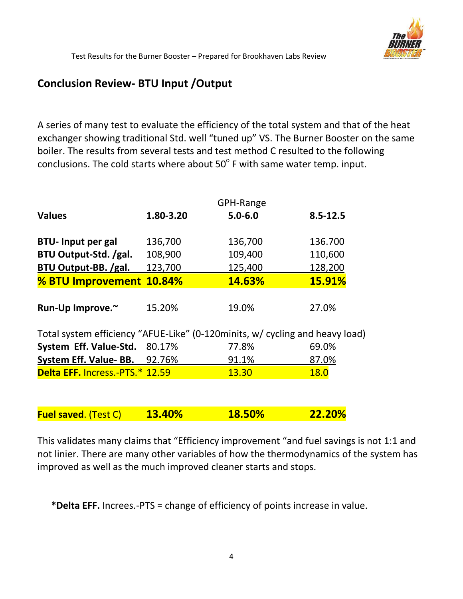

## **Conclusion Review- BTU Input /Output**

A series of many test to evaluate the efficiency of the total system and that of the heat exchanger showing traditional Std. well "tuned up" VS. The Burner Booster on the same boiler. The results from several tests and test method C resulted to the following conclusions. The cold starts where about  $50^{\circ}$  F with same water temp. input.

|                                                                              | GPH-Range |             |               |  |
|------------------------------------------------------------------------------|-----------|-------------|---------------|--|
| <b>Values</b>                                                                | 1.80-3.20 | $5.0 - 6.0$ | $8.5 - 12.5$  |  |
| <b>BTU- Input per gal</b>                                                    | 136,700   | 136,700     | 136.700       |  |
| BTU Output-Std. /gal.                                                        | 108,900   | 109,400     | 110,600       |  |
| BTU Output-BB. /gal.                                                         | 123,700   | 125,400     | 128,200       |  |
| % BTU Improvement 10.84%                                                     |           | 14.63%      | <b>15.91%</b> |  |
|                                                                              |           |             |               |  |
| Run-Up Improve.~                                                             | 15.20%    | 19.0%       | 27.0%         |  |
| Total system efficiency "AFUE-Like" (0-120minits, w/ cycling and heavy load) |           |             |               |  |
| System Eff. Value-Std. 80.17%                                                |           | 77.8%       | 69.0%         |  |
| System Eff. Value-BB. 92.76%                                                 |           | 91.1%       | 87.0%         |  |
| Delta EFF. Incress.-PTS.* 12.59                                              |           | 13.30       | <b>18.0</b>   |  |
|                                                                              |           |             |               |  |
| <b>Fuel saved. (Test C)</b>                                                  | 13.40%    | 18.50%      | 22.20%        |  |

This validates many claims that "Efficiency improvement "and fuel savings is not 1:1 and not linier. There are many other variables of how the thermodynamics of the system has improved as well as the much improved cleaner starts and stops.

**\*Delta EFF.** Increes.-PTS = change of efficiency of points increase in value.